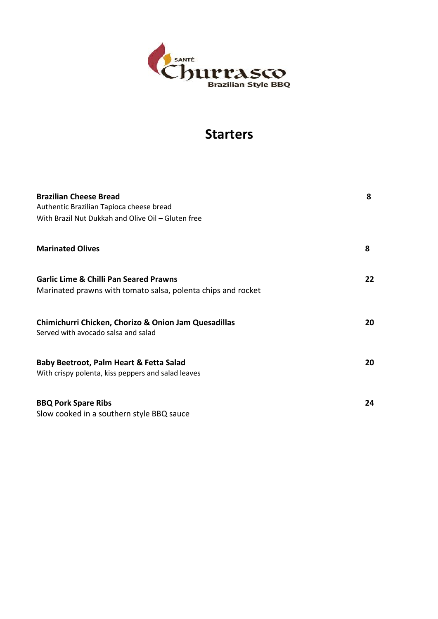

### **Starters**

| <b>Brazilian Cheese Bread</b><br>Authentic Brazilian Tapioca cheese bread<br>With Brazil Nut Dukkah and Olive Oil - Gluten free | 8  |
|---------------------------------------------------------------------------------------------------------------------------------|----|
| <b>Marinated Olives</b>                                                                                                         | 8  |
| <b>Garlic Lime &amp; Chilli Pan Seared Prawns</b><br>Marinated prawns with tomato salsa, polenta chips and rocket               | 22 |
| Chimichurri Chicken, Chorizo & Onion Jam Quesadillas<br>Served with avocado salsa and salad                                     | 20 |
| Baby Beetroot, Palm Heart & Fetta Salad<br>With crispy polenta, kiss peppers and salad leaves                                   | 20 |
| <b>BBQ Pork Spare Ribs</b><br>Slow cooked in a southern style BBQ sauce                                                         | 24 |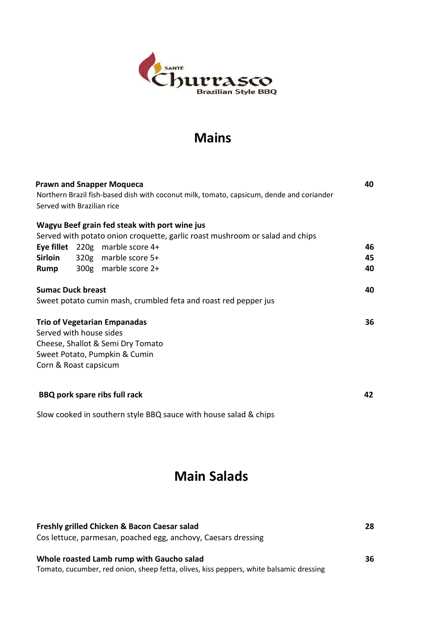

# **Mains**

| <b>Prawn and Snapper Moqueca</b> |  |                                                                                          |    |  |
|----------------------------------|--|------------------------------------------------------------------------------------------|----|--|
|                                  |  | Northern Brazil fish-based dish with coconut milk, tomato, capsicum, dende and coriander |    |  |
| Served with Brazilian rice       |  |                                                                                          |    |  |
|                                  |  | Wagyu Beef grain fed steak with port wine jus                                            |    |  |
|                                  |  | Served with potato onion croquette, garlic roast mushroom or salad and chips             |    |  |
|                                  |  | Eye fillet $220g$ marble score 4+                                                        | 46 |  |
| <b>Sirloin</b>                   |  | 320g marble score 5+                                                                     | 45 |  |
| Rump                             |  | 300g marble score 2+                                                                     | 40 |  |
|                                  |  | Sweet potato cumin mash, crumbled feta and roast red pepper jus                          |    |  |
|                                  |  | <b>Trio of Vegetarian Empanadas</b>                                                      | 36 |  |
| Served with house sides          |  |                                                                                          |    |  |
|                                  |  | Cheese, Shallot & Semi Dry Tomato                                                        |    |  |
|                                  |  | Sweet Potato, Pumpkin & Cumin                                                            |    |  |
| Corn & Roast capsicum            |  |                                                                                          |    |  |
|                                  |  |                                                                                          |    |  |
|                                  |  | <b>BBQ pork spare ribs full rack</b>                                                     | 42 |  |
|                                  |  | Slow cooked in southern style BBQ sauce with house salad & chips                         |    |  |

# **Main Salads**

| Freshly grilled Chicken & Bacon Caesar salad<br>Cos lettuce, parmesan, poached egg, anchovy, Caesars dressing                        | 28 |
|--------------------------------------------------------------------------------------------------------------------------------------|----|
| Whole roasted Lamb rump with Gaucho salad<br>Tomato, cucumber, red onion, sheep fetta, olives, kiss peppers, white balsamic dressing | 36 |